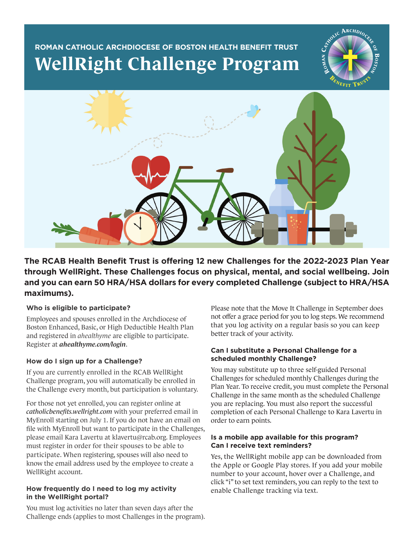# **ROMAN CATHOLIC ARCHDIOCESE OF BOSTON HEALTH BENEFIT TRUST WellRight Challenge Program**





**The RCAB Health Benefit Trust is offering 12 new Challenges for the 2022-2023 Plan Year through WellRight. These Challenges focus on physical, mental, and social wellbeing. Join and you can earn 50 HRA/HSA dollars for every completed Challenge (subject to HRA/HSA maximums).**

### **Who is eligible to participate?**

Employees and spouses enrolled in the Archdiocese of Boston Enhanced, Basic, or High Deductible Health Plan and registered in *ahealthyme* are eligible to participate. Register at *ahealthyme.com/login*.

## **How do I sign up for a Challenge?**

If you are currently enrolled in the RCAB WellRight Challenge program, you will automatically be enrolled in the Challenge every month, but participation is voluntary.

For those not yet enrolled, you can register online at *catholicbenefits.wellright.com* with your preferred email in MyEnroll starting on July 1. If you do not have an email on file with MyEnroll but want to participate in the Challenges, please email Kara Lavertu at klavertu@rcab.org. Employees must register in order for their spouses to be able to participate. When registering, spouses will also need to know the email address used by the employee to create a WellRight account.

#### **How frequently do I need to log my activity in the WellRight portal?**

You must log activities no later than seven days after the Challenge ends (applies to most Challenges in the program). Please note that the Move It Challenge in September does not offer a grace period for you to log steps. We recommend that you log activity on a regular basis so you can keep better track of your activity.

#### **Can I substitute a Personal Challenge for a scheduled monthly Challenge?**

You may substitute up to three self-guided Personal Challenges for scheduled monthly Challenges during the Plan Year. To receive credit, you must complete the Personal Challenge in the same month as the scheduled Challenge you are replacing. You must also report the successful completion of each Personal Challenge to Kara Lavertu in order to earn points.

#### **Is a mobile app available for this program? Can I receive text reminders?**

Yes, the WellRight mobile app can be downloaded from the Apple or Google Play stores. If you add your mobile number to your account, hover over a Challenge, and click "i" to set text reminders, you can reply to the text to enable Challenge tracking via text.